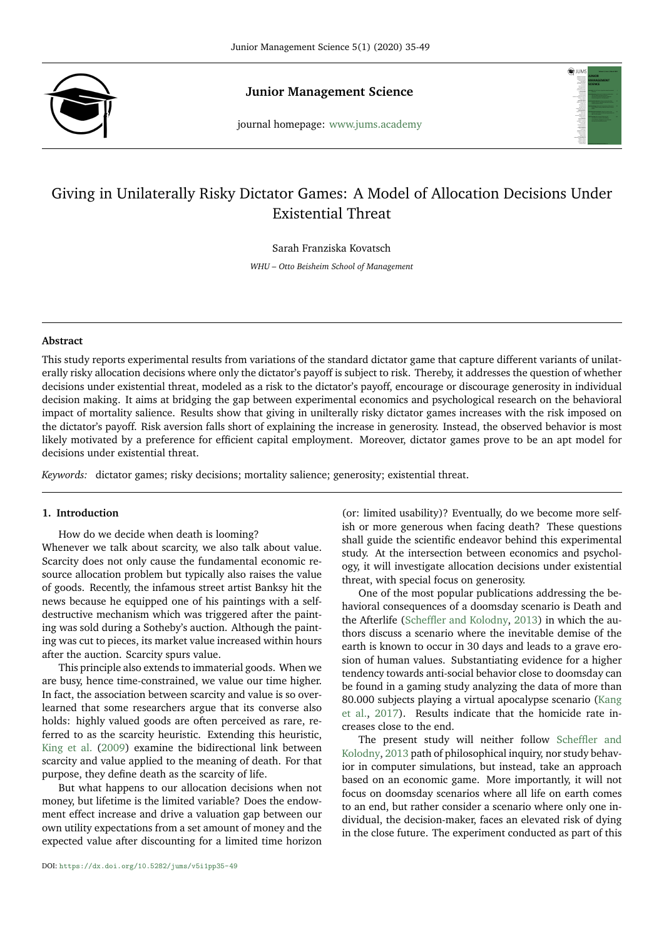

**Junior Management Science**

journal homepage: <www.jums.academy>



# Giving in Unilaterally Risky Dictator Games: A Model of Allocation Decisions Under Existential Threat

Sarah Franziska Kovatsch

*WHU – Otto Beisheim School of Management*

# **Abstract**

This study reports experimental results from variations of the standard dictator game that capture different variants of unilaterally risky allocation decisions where only the dictator's payoff is subject to risk. Thereby, it addresses the question of whether decisions under existential threat, modeled as a risk to the dictator's payoff, encourage or discourage generosity in individual decision making. It aims at bridging the gap between experimental economics and psychological research on the behavioral impact of mortality salience. Results show that giving in unilterally risky dictator games increases with the risk imposed on the dictator's payoff. Risk aversion falls short of explaining the increase in generosity. Instead, the observed behavior is most likely motivated by a preference for efficient capital employment. Moreover, dictator games prove to be an apt model for decisions under existential threat.

*Keywords:* dictator games; risky decisions; mortality salience; generosity; existential threat.

# **1. Introduction**

How do we decide when death is looming? Whenever we talk about scarcity, we also talk about value. Scarcity does not only cause the fundamental economic resource allocation problem but typically also raises the value of goods. Recently, the infamous street artist Banksy hit the news because he equipped one of his paintings with a selfdestructive mechanism which was triggered after the painting was sold during a Sotheby's auction. Although the painting was cut to pieces, its market value increased within hours after the auction. Scarcity spurs value.

This principle also extends to immaterial goods. When we are busy, hence time-constrained, we value our time higher. In fact, the association between scarcity and value is so overlearned that some researchers argue that its converse also holds: highly valued goods are often perceived as rare, referred to as the scarcity heuristic. Extending this heuristic, [King et al.](#page-14-0) [\(2009\)](#page-14-0) examine the bidirectional link between scarcity and value applied to the meaning of death. For that purpose, they define death as the scarcity of life.

But what happens to our allocation decisions when not money, but lifetime is the limited variable? Does the endowment effect increase and drive a valuation gap between our own utility expectations from a set amount of money and the expected value after discounting for a limited time horizon

(or: limited usability)? Eventually, do we become more selfish or more generous when facing death? These questions shall guide the scientific endeavor behind this experimental study. At the intersection between economics and psychology, it will investigate allocation decisions under existential threat, with special focus on generosity.

One of the most popular publications addressing the behavioral consequences of a doomsday scenario is Death and the Afterlife [\(Scheffler and Kolodny,](#page-14-1) [2013\)](#page-14-1) in which the authors discuss a scenario where the inevitable demise of the earth is known to occur in 30 days and leads to a grave erosion of human values. Substantiating evidence for a higher tendency towards anti-social behavior close to doomsday can be found in a gaming study analyzing the data of more than 80.000 subjects playing a virtual apocalypse scenario [\(Kang](#page-14-2) [et al.,](#page-14-2) [2017\)](#page-14-2). Results indicate that the homicide rate increases close to the end.

The present study will neither follow [Scheffler and](#page-14-1) [Kolodny,](#page-14-1) [2013](#page-14-1) path of philosophical inquiry, nor study behavior in computer simulations, but instead, take an approach based on an economic game. More importantly, it will not focus on doomsday scenarios where all life on earth comes to an end, but rather consider a scenario where only one individual, the decision-maker, faces an elevated risk of dying in the close future. The experiment conducted as part of this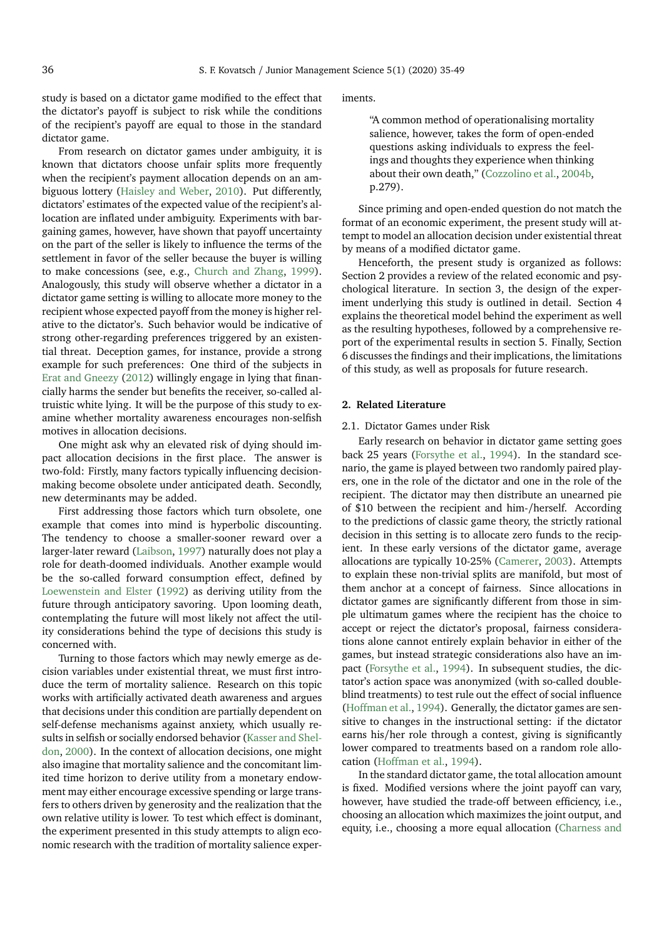study is based on a dictator game modified to the effect that the dictator's payoff is subject to risk while the conditions of the recipient's payoff are equal to those in the standard dictator game.

From research on dictator games under ambiguity, it is known that dictators choose unfair splits more frequently when the recipient's payment allocation depends on an ambiguous lottery [\(Haisley and Weber,](#page-14-3) [2010\)](#page-14-3). Put differently, dictators' estimates of the expected value of the recipient's allocation are inflated under ambiguity. Experiments with bargaining games, however, have shown that payoff uncertainty on the part of the seller is likely to influence the terms of the settlement in favor of the seller because the buyer is willing to make concessions (see, e.g., [Church and Zhang,](#page-14-4) [1999\)](#page-14-4). Analogously, this study will observe whether a dictator in a dictator game setting is willing to allocate more money to the recipient whose expected payoff from the money is higher relative to the dictator's. Such behavior would be indicative of strong other-regarding preferences triggered by an existential threat. Deception games, for instance, provide a strong example for such preferences: One third of the subjects in [Erat and Gneezy](#page-14-5) [\(2012\)](#page-14-5) willingly engage in lying that financially harms the sender but benefits the receiver, so-called altruistic white lying. It will be the purpose of this study to examine whether mortality awareness encourages non-selfish motives in allocation decisions.

One might ask why an elevated risk of dying should impact allocation decisions in the first place. The answer is two-fold: Firstly, many factors typically influencing decisionmaking become obsolete under anticipated death. Secondly, new determinants may be added.

First addressing those factors which turn obsolete, one example that comes into mind is hyperbolic discounting. The tendency to choose a smaller-sooner reward over a larger-later reward [\(Laibson,](#page-14-6) [1997\)](#page-14-6) naturally does not play a role for death-doomed individuals. Another example would be the so-called forward consumption effect, defined by [Loewenstein and Elster](#page-14-7) [\(1992\)](#page-14-7) as deriving utility from the future through anticipatory savoring. Upon looming death, contemplating the future will most likely not affect the utility considerations behind the type of decisions this study is concerned with.

Turning to those factors which may newly emerge as decision variables under existential threat, we must first introduce the term of mortality salience. Research on this topic works with artificially activated death awareness and argues that decisions under this condition are partially dependent on self-defense mechanisms against anxiety, which usually results in selfish or socially endorsed behavior [\(Kasser and Shel](#page-14-8)[don,](#page-14-8) [2000\)](#page-14-8). In the context of allocation decisions, one might also imagine that mortality salience and the concomitant limited time horizon to derive utility from a monetary endowment may either encourage excessive spending or large transfers to others driven by generosity and the realization that the own relative utility is lower. To test which effect is dominant, the experiment presented in this study attempts to align economic research with the tradition of mortality salience experiments.

"A common method of operationalising mortality salience, however, takes the form of open-ended questions asking individuals to express the feelings and thoughts they experience when thinking about their own death," [\(Cozzolino et al.,](#page-14-9) [2004b,](#page-14-9) p.279).

Since priming and open-ended question do not match the format of an economic experiment, the present study will attempt to model an allocation decision under existential threat by means of a modified dictator game.

Henceforth, the present study is organized as follows: Section 2 provides a review of the related economic and psychological literature. In section 3, the design of the experiment underlying this study is outlined in detail. Section 4 explains the theoretical model behind the experiment as well as the resulting hypotheses, followed by a comprehensive report of the experimental results in section 5. Finally, Section 6 discusses the findings and their implications, the limitations of this study, as well as proposals for future research.

# **2. Related Literature**

### 2.1. Dictator Games under Risk

Early research on behavior in dictator game setting goes back 25 years [\(Forsythe et al.,](#page-14-10) [1994\)](#page-14-10). In the standard scenario, the game is played between two randomly paired players, one in the role of the dictator and one in the role of the recipient. The dictator may then distribute an unearned pie of \$10 between the recipient and him-/herself. According to the predictions of classic game theory, the strictly rational decision in this setting is to allocate zero funds to the recipient. In these early versions of the dictator game, average allocations are typically 10-25% [\(Camerer,](#page-14-11) [2003\)](#page-14-11). Attempts to explain these non-trivial splits are manifold, but most of them anchor at a concept of fairness. Since allocations in dictator games are significantly different from those in simple ultimatum games where the recipient has the choice to accept or reject the dictator's proposal, fairness considerations alone cannot entirely explain behavior in either of the games, but instead strategic considerations also have an impact [\(Forsythe et al.,](#page-14-10) [1994\)](#page-14-10). In subsequent studies, the dictator's action space was anonymized (with so-called doubleblind treatments) to test rule out the effect of social influence [\(Hoffman et al.,](#page-14-12) [1994\)](#page-14-12). Generally, the dictator games are sensitive to changes in the instructional setting: if the dictator earns his/her role through a contest, giving is significantly lower compared to treatments based on a random role allocation [\(Hoffman et al.,](#page-14-12) [1994\)](#page-14-12).

In the standard dictator game, the total allocation amount is fixed. Modified versions where the joint payoff can vary, however, have studied the trade-off between efficiency, i.e., choosing an allocation which maximizes the joint output, and equity, i.e., choosing a more equal allocation [\(Charness and](#page-14-13)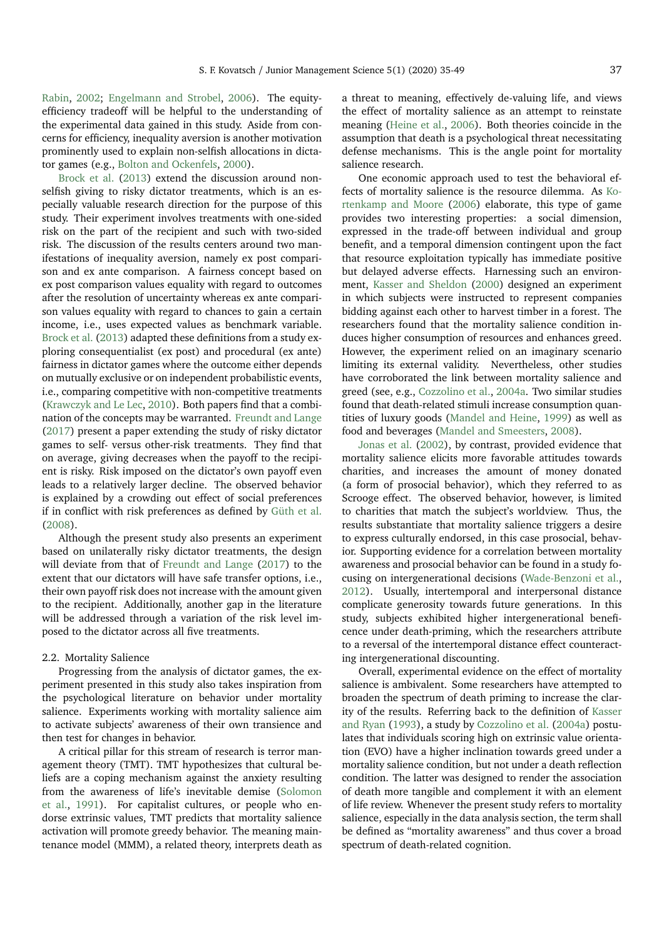[Rabin,](#page-14-13) [2002;](#page-14-13) [Engelmann and Strobel,](#page-14-14) [2006\)](#page-14-14). The equityefficiency tradeoff will be helpful to the understanding of the experimental data gained in this study. Aside from concerns for efficiency, inequality aversion is another motivation prominently used to explain non-selfish allocations in dictator games (e.g., [Bolton and Ockenfels,](#page-14-15) [2000\)](#page-14-15).

[Brock et al.](#page-14-16) [\(2013\)](#page-14-16) extend the discussion around nonselfish giving to risky dictator treatments, which is an especially valuable research direction for the purpose of this study. Their experiment involves treatments with one-sided risk on the part of the recipient and such with two-sided risk. The discussion of the results centers around two manifestations of inequality aversion, namely ex post comparison and ex ante comparison. A fairness concept based on ex post comparison values equality with regard to outcomes after the resolution of uncertainty whereas ex ante comparison values equality with regard to chances to gain a certain income, i.e., uses expected values as benchmark variable. [Brock et al.](#page-14-16) [\(2013\)](#page-14-16) adapted these definitions from a study exploring consequentialist (ex post) and procedural (ex ante) fairness in dictator games where the outcome either depends on mutually exclusive or on independent probabilistic events, i.e., comparing competitive with non-competitive treatments [\(Krawczyk and Le Lec,](#page-14-17) [2010\)](#page-14-17). Both papers find that a combination of the concepts may be warranted. [Freundt and Lange](#page-14-18) [\(2017\)](#page-14-18) present a paper extending the study of risky dictator games to self- versus other-risk treatments. They find that on average, giving decreases when the payoff to the recipient is risky. Risk imposed on the dictator's own payoff even leads to a relatively larger decline. The observed behavior is explained by a crowding out effect of social preferences if in conflict with risk preferences as defined by [Güth et al.](#page-14-19) [\(2008\)](#page-14-19).

Although the present study also presents an experiment based on unilaterally risky dictator treatments, the design will deviate from that of [Freundt and Lange](#page-14-18) [\(2017\)](#page-14-18) to the extent that our dictators will have safe transfer options, i.e., their own payoff risk does not increase with the amount given to the recipient. Additionally, another gap in the literature will be addressed through a variation of the risk level imposed to the dictator across all five treatments.

# 2.2. Mortality Salience

Progressing from the analysis of dictator games, the experiment presented in this study also takes inspiration from the psychological literature on behavior under mortality salience. Experiments working with mortality salience aim to activate subjects' awareness of their own transience and then test for changes in behavior.

A critical pillar for this stream of research is terror management theory (TMT). TMT hypothesizes that cultural beliefs are a coping mechanism against the anxiety resulting from the awareness of life's inevitable demise [\(Solomon](#page-14-20) [et al.,](#page-14-20) [1991\)](#page-14-20). For capitalist cultures, or people who endorse extrinsic values, TMT predicts that mortality salience activation will promote greedy behavior. The meaning maintenance model (MMM), a related theory, interprets death as

a threat to meaning, effectively de-valuing life, and views the effect of mortality salience as an attempt to reinstate meaning [\(Heine et al.,](#page-14-21) [2006\)](#page-14-21). Both theories coincide in the assumption that death is a psychological threat necessitating defense mechanisms. This is the angle point for mortality salience research.

One economic approach used to test the behavioral effects of mortality salience is the resource dilemma. As [Ko](#page-14-22)[rtenkamp and Moore](#page-14-22) [\(2006\)](#page-14-22) elaborate, this type of game provides two interesting properties: a social dimension, expressed in the trade-off between individual and group benefit, and a temporal dimension contingent upon the fact that resource exploitation typically has immediate positive but delayed adverse effects. Harnessing such an environment, [Kasser and Sheldon](#page-14-8) [\(2000\)](#page-14-8) designed an experiment in which subjects were instructed to represent companies bidding against each other to harvest timber in a forest. The researchers found that the mortality salience condition induces higher consumption of resources and enhances greed. However, the experiment relied on an imaginary scenario limiting its external validity. Nevertheless, other studies have corroborated the link between mortality salience and greed (see, e.g., [Cozzolino et al.,](#page-14-23) [2004a.](#page-14-23) Two similar studies found that death-related stimuli increase consumption quantities of luxury goods [\(Mandel and Heine,](#page-14-24) [1999\)](#page-14-24) as well as food and beverages [\(Mandel and Smeesters,](#page-14-25) [2008\)](#page-14-25).

[Jonas et al.](#page-14-26) [\(2002\)](#page-14-26), by contrast, provided evidence that mortality salience elicits more favorable attitudes towards charities, and increases the amount of money donated (a form of prosocial behavior), which they referred to as Scrooge effect. The observed behavior, however, is limited to charities that match the subject's worldview. Thus, the results substantiate that mortality salience triggers a desire to express culturally endorsed, in this case prosocial, behavior. Supporting evidence for a correlation between mortality awareness and prosocial behavior can be found in a study focusing on intergenerational decisions [\(Wade-Benzoni et al.,](#page-14-27) [2012\)](#page-14-27). Usually, intertemporal and interpersonal distance complicate generosity towards future generations. In this study, subjects exhibited higher intergenerational beneficence under death-priming, which the researchers attribute to a reversal of the intertemporal distance effect counteracting intergenerational discounting.

Overall, experimental evidence on the effect of mortality salience is ambivalent. Some researchers have attempted to broaden the spectrum of death priming to increase the clarity of the results. Referring back to the definition of [Kasser](#page-14-28) [and Ryan](#page-14-28) [\(1993\)](#page-14-28), a study by [Cozzolino et al.](#page-14-23) [\(2004a\)](#page-14-23) postulates that individuals scoring high on extrinsic value orientation (EVO) have a higher inclination towards greed under a mortality salience condition, but not under a death reflection condition. The latter was designed to render the association of death more tangible and complement it with an element of life review. Whenever the present study refers to mortality salience, especially in the data analysis section, the term shall be defined as "mortality awareness" and thus cover a broad spectrum of death-related cognition.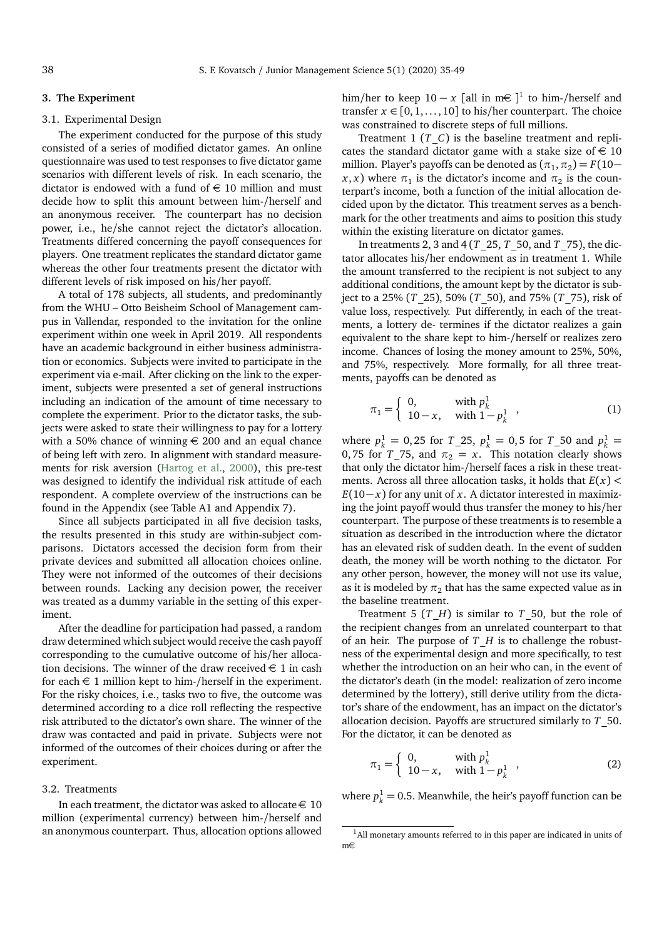#### **3. The Experiment**

# 3.1. Experimental Design

The experiment conducted for the purpose of this study consisted of a series of modified dictator games. An online questionnaire was used to test responses to five dictator game scenarios with different levels of risk. In each scenario, the dictator is endowed with a fund of  $\in$  10 million and must decide how to split this amount between him-/herself and an anonymous receiver. The counterpart has no decision power, i.e., he/she cannot reject the dictator's allocation. Treatments differed concerning the payoff consequences for players. One treatment replicates the standard dictator game whereas the other four treatments present the dictator with different levels of risk imposed on his/her payoff.

A total of 178 subjects, all students, and predominantly from the WHU – Otto Beisheim School of Management campus in Vallendar, responded to the invitation for the online experiment within one week in April 2019. All respondents have an academic background in either business administration or economics. Subjects were invited to participate in the experiment via e-mail. After clicking on the link to the experiment, subjects were presented a set of general instructions including an indication of the amount of time necessary to complete the experiment. Prior to the dictator tasks, the subjects were asked to state their willingness to pay for a lottery with a 50% chance of winning  $\epsilon$  200 and an equal chance of being left with zero. In alignment with standard measurements for risk aversion [\(Hartog et al.,](#page-14-29) [2000\)](#page-14-29), this pre-test was designed to identify the individual risk attitude of each respondent. A complete overview of the instructions can be found in the Appendix (see Table A1 and Appendix 7).

Since all subjects participated in all five decision tasks, the results presented in this study are within-subject comparisons. Dictators accessed the decision form from their private devices and submitted all allocation choices online. They were not informed of the outcomes of their decisions between rounds. Lacking any decision power, the receiver was treated as a dummy variable in the setting of this experiment.

After the deadline for participation had passed, a random draw determined which subject would receive the cash payoff corresponding to the cumulative outcome of his/her allocation decisions. The winner of the draw received  $\in$  1 in cash for each  $\in$  1 million kept to him-/herself in the experiment. For the risky choices, i.e., tasks two to five, the outcome was determined according to a dice roll reflecting the respective risk attributed to the dictator's own share. The winner of the draw was contacted and paid in private. Subjects were not informed of the outcomes of their choices during or after the experiment.

### 3.2. Treatments

In each treatment, the dictator was asked to allocate  $\in$  10 million (experimental currency) between him-/herself and an anonymous counterpart. Thus, allocation options allowed

him/her to keep  $10 - x$  $10 - x$  [all in m  $\in$  ]<sup>1</sup> to him-/herself and transfer  $x \in [0, 1, \ldots, 10]$  to his/her counterpart. The choice was constrained to discrete steps of full millions.

Treatment 1  $(T_C)$  is the baseline treatment and replicates the standard dictator game with a stake size of  $\in$  10 million. Player's payoffs can be denoted as  $(\pi_1, \pi_2) = F(10 (x, x)$  where  $\pi_1$  is the dictator's income and  $\pi_2$  is the counterpart's income, both a function of the initial allocation decided upon by the dictator. This treatment serves as a benchmark for the other treatments and aims to position this study within the existing literature on dictator games.

In treatments 2, 3 and 4 (*T*\_25, *T*\_50, and *T*\_75), the dictator allocates his/her endowment as in treatment 1. While the amount transferred to the recipient is not subject to any additional conditions, the amount kept by the dictator is subject to a 25% (*T*\_25), 50% (*T*\_50), and 75% (*T*\_75), risk of value loss, respectively. Put differently, in each of the treatments, a lottery de- termines if the dictator realizes a gain equivalent to the share kept to him-/herself or realizes zero income. Chances of losing the money amount to 25%, 50%, and 75%, respectively. More formally, for all three treatments, payoffs can be denoted as

$$
\pi_1 = \begin{cases} 0, & \text{with } p_k^1 \\ 10 - x, & \text{with } 1 - p_k^1 \end{cases},
$$
 (1)

where  $p_k^1 = 0.25$  for  $T_2^1 = 0.5$  for  $T_5^0 = 0.5$  and  $p_k^1 = 0.5$ 0, 75 for  $T_{1/2}$ , and  $\pi_{2} = x$ . This notation clearly shows that only the dictator him-/herself faces a risk in these treatments. Across all three allocation tasks, it holds that *E*(*x*) *<*  $E(10-x)$  for any unit of *x*. A dictator interested in maximizing the joint payoff would thus transfer the money to his/her counterpart. The purpose of these treatments is to resemble a situation as described in the introduction where the dictator has an elevated risk of sudden death. In the event of sudden death, the money will be worth nothing to the dictator. For any other person, however, the money will not use its value, as it is modeled by  $\pi_2$  that has the same expected value as in the baseline treatment.

Treatment 5  $(T_H)$  is similar to  $T_50$ , but the role of the recipient changes from an unrelated counterpart to that of an heir. The purpose of *T*\_*H* is to challenge the robustness of the experimental design and more specifically, to test whether the introduction on an heir who can, in the event of the dictator's death (in the model: realization of zero income determined by the lottery), still derive utility from the dictator's share of the endowment, has an impact on the dictator's allocation decision. Payoffs are structured similarly to *T*\_50. For the dictator, it can be denoted as

$$
\pi_1 = \begin{cases} 0, & \text{with } p_k^1 \\ 10 - x, & \text{with } 1 - p_k^1 \end{cases},
$$
 (2)

where  $p_k^1 = 0.5$ . Meanwhile, the heir's payoff function can be

<span id="page-3-0"></span><sup>&</sup>lt;sup>1</sup>All monetary amounts referred to in this paper are indicated in units of m€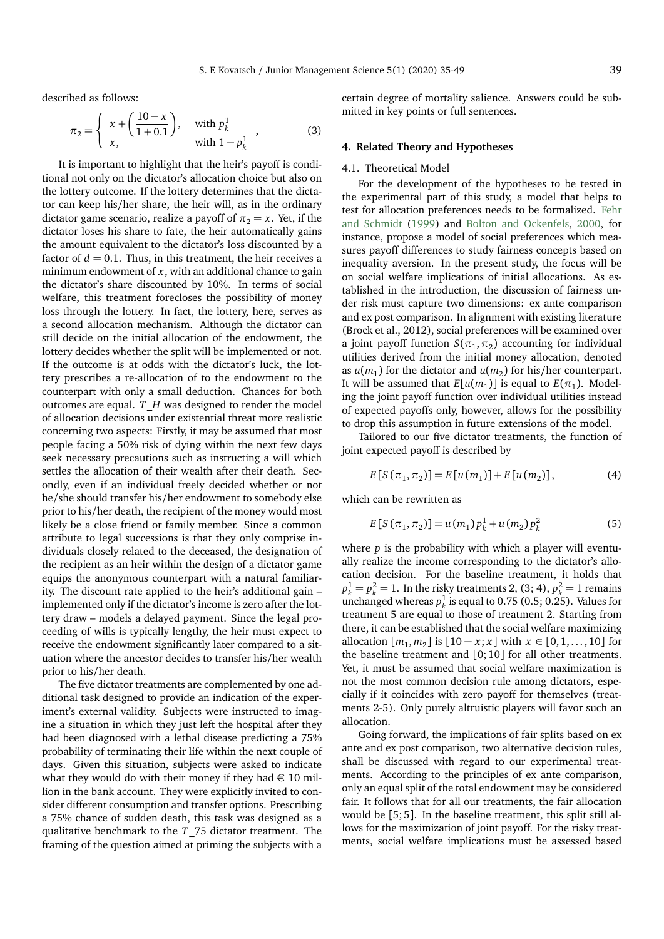described as follows:

$$
\pi_2 = \begin{cases}\n x + \left(\frac{10 - x}{1 + 0.1}\right), & \text{with } p_k^1 \\
x, & \text{with } 1 - p_k^1\n\end{cases}
$$
\n(3)

It is important to highlight that the heir's payoff is conditional not only on the dictator's allocation choice but also on the lottery outcome. If the lottery determines that the dictator can keep his/her share, the heir will, as in the ordinary dictator game scenario, realize a payoff of  $\pi_2 = x$ . Yet, if the dictator loses his share to fate, the heir automatically gains the amount equivalent to the dictator's loss discounted by a factor of  $d = 0.1$ . Thus, in this treatment, the heir receives a minimum endowment of *x*, with an additional chance to gain the dictator's share discounted by 10%. In terms of social welfare, this treatment forecloses the possibility of money loss through the lottery. In fact, the lottery, here, serves as a second allocation mechanism. Although the dictator can still decide on the initial allocation of the endowment, the lottery decides whether the split will be implemented or not. If the outcome is at odds with the dictator's luck, the lottery prescribes a re-allocation of to the endowment to the counterpart with only a small deduction. Chances for both outcomes are equal. *T*\_*H* was designed to render the model of allocation decisions under existential threat more realistic concerning two aspects: Firstly, it may be assumed that most people facing a 50% risk of dying within the next few days seek necessary precautions such as instructing a will which settles the allocation of their wealth after their death. Secondly, even if an individual freely decided whether or not he/she should transfer his/her endowment to somebody else prior to his/her death, the recipient of the money would most likely be a close friend or family member. Since a common attribute to legal successions is that they only comprise individuals closely related to the deceased, the designation of the recipient as an heir within the design of a dictator game equips the anonymous counterpart with a natural familiarity. The discount rate applied to the heir's additional gain – implemented only if the dictator's income is zero after the lottery draw – models a delayed payment. Since the legal proceeding of wills is typically lengthy, the heir must expect to receive the endowment significantly later compared to a situation where the ancestor decides to transfer his/her wealth prior to his/her death.

The five dictator treatments are complemented by one additional task designed to provide an indication of the experiment's external validity. Subjects were instructed to imagine a situation in which they just left the hospital after they had been diagnosed with a lethal disease predicting a 75% probability of terminating their life within the next couple of days. Given this situation, subjects were asked to indicate what they would do with their money if they had  $\in$  10 million in the bank account. They were explicitly invited to consider different consumption and transfer options. Prescribing a 75% chance of sudden death, this task was designed as a qualitative benchmark to the *T*\_75 dictator treatment. The framing of the question aimed at priming the subjects with a

certain degree of mortality salience. Answers could be submitted in key points or full sentences.

# **4. Related Theory and Hypotheses**

#### 4.1. Theoretical Model

For the development of the hypotheses to be tested in the experimental part of this study, a model that helps to test for allocation preferences needs to be formalized. [Fehr](#page-14-30) [and Schmidt](#page-14-30) [\(1999\)](#page-14-30) and [Bolton and Ockenfels,](#page-14-15) [2000,](#page-14-15) for instance, propose a model of social preferences which measures payoff differences to study fairness concepts based on inequality aversion. In the present study, the focus will be on social welfare implications of initial allocations. As established in the introduction, the discussion of fairness under risk must capture two dimensions: ex ante comparison and ex post comparison. In alignment with existing literature (Brock et al., 2012), social preferences will be examined over a joint payoff function  $S(\pi_1, \pi_2)$  accounting for individual utilities derived from the initial money allocation, denoted as  $u(m_1)$  for the dictator and  $u(m_2)$  for his/her counterpart. It will be assumed that  $E[u(m_1)]$  is equal to  $E(\pi_1)$ . Modeling the joint payoff function over individual utilities instead of expected payoffs only, however, allows for the possibility to drop this assumption in future extensions of the model.

Tailored to our five dictator treatments, the function of joint expected payoff is described by

$$
E[S(\pi_1, \pi_2)] = E[u(m_1)] + E[u(m_2)], \qquad (4)
$$

which can be rewritten as

$$
E[S(\pi_1, \pi_2)] = u(m_1) p_k^1 + u(m_2) p_k^2
$$
\n(5)

where *p* is the probability with which a player will eventually realize the income corresponding to the dictator's allocation decision. For the baseline treatment, it holds that  $p_k^1 = p_k^2 = 1$ . In the risky treatments 2, (3; 4),  $p_k^2 = 1$  remains unchanged whereas  $p_k^1$  is equal to 0.75 (0.5; 0.25). Values for treatment 5 are equal to those of treatment 2. Starting from there, it can be established that the social welfare maximizing allocation  $[m_1, m_2]$  is  $[10 − x; x]$  with  $x ∈ [0, 1, ..., 10]$  for the baseline treatment and [0; 10] for all other treatments. Yet, it must be assumed that social welfare maximization is not the most common decision rule among dictators, especially if it coincides with zero payoff for themselves (treatments 2-5). Only purely altruistic players will favor such an allocation.

Going forward, the implications of fair splits based on ex ante and ex post comparison, two alternative decision rules, shall be discussed with regard to our experimental treatments. According to the principles of ex ante comparison, only an equal split of the total endowment may be considered fair. It follows that for all our treatments, the fair allocation would be [5; 5]. In the baseline treatment, this split still allows for the maximization of joint payoff. For the risky treatments, social welfare implications must be assessed based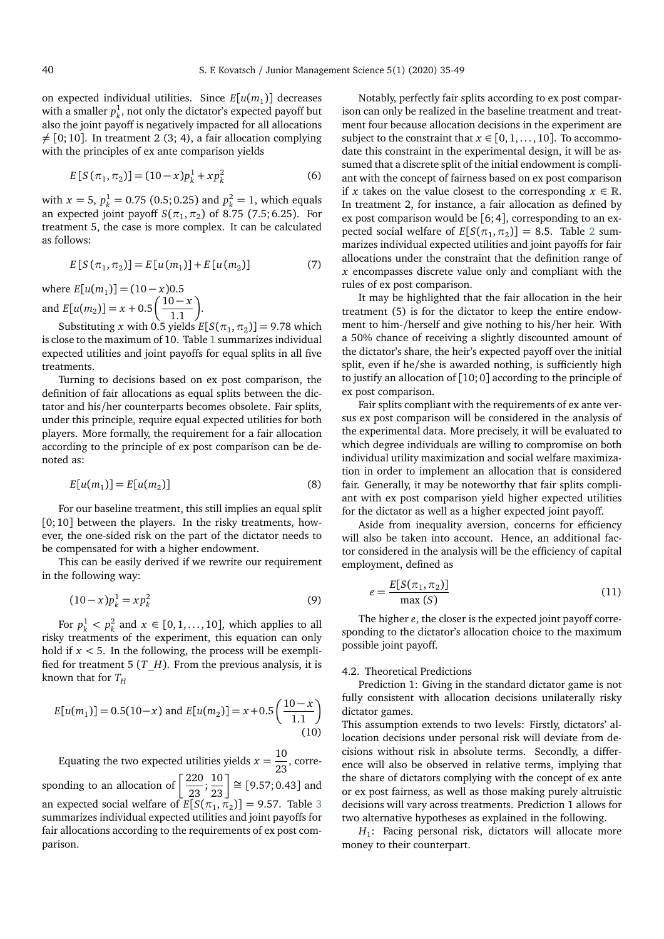on expected individual utilities. Since  $E[u(m_1)]$  decreases with a smaller  $p_k^1$ , not only the dictator's expected payoff but also the joint payoff is negatively impacted for all allocations  $\neq$  [0; 10]. In treatment 2 (3; 4), a fair allocation complying with the principles of ex ante comparison yields

$$
E[S(\pi_1, \pi_2)] = (10 - x)p_k^1 + xp_k^2
$$
 (6)

with *x* = 5,  $p_k^1$  = 0.75 (0.5; 0.25) and  $p_k^2$  = 1, which equals an expected joint payoff  $S(\pi_1, \pi_2)$  of 8.75 (7.5; 6.25). For treatment 5, the case is more complex. It can be calculated as follows:

$$
E[S(\pi_1, \pi_2)] = E[u(m_1)] + E[u(m_2)] \tag{7}
$$

where  $E[u(m_1)] = (10 - x)0.5$ and  $E[u(m_2)] = x + 0.5\left(\frac{10 - x}{1.1}\right)$ .

Substituting *x* with 0.5 yields  $E[S(\pi_1, \pi_2)] = 9.78$  which is close to the maximum of 10. Table [1](#page-6-0) summarizes individual expected utilities and joint payoffs for equal splits in all five treatments.

Turning to decisions based on ex post comparison, the definition of fair allocations as equal splits between the dictator and his/her counterparts becomes obsolete. Fair splits, under this principle, require equal expected utilities for both players. More formally, the requirement for a fair allocation according to the principle of ex post comparison can be denoted as:

$$
E[u(m_1)] = E[u(m_2)] \tag{8}
$$

For our baseline treatment, this still implies an equal split  $[0; 10]$  between the players. In the risky treatments, however, the one-sided risk on the part of the dictator needs to be compensated for with a higher endowment.

This can be easily derived if we rewrite our requirement in the following way:

$$
(10 - x)p_k^1 = xp_k^2
$$
 (9)

For  $p_k^1 < p_k^2$  and  $x \in [0, 1, ..., 10]$ , which applies to all risky treatments of the experiment, this equation can only hold if  $x < 5$ . In the following, the process will be exemplified for treatment 5  $(T$ <sup> $H$ </sup>). From the previous analysis, it is known that for  $T_H$ 

$$
E[u(m_1)] = 0.5(10 - x) \text{ and } E[u(m_2)] = x + 0.5\left(\frac{10 - x}{1.1}\right)
$$
\n(10)

Equating the two expected utilities yields  $x = \frac{10}{22}$ , corre-23 sponding to an allocation of  $\left[\frac{220}{20}\right]$  $\left[\frac{220}{23};\frac{10}{23}\right] \cong [9.57;0.43]$  and an expected social welfare of  $E[S(\pi_1, \pi_2)] = 9.57$ . Table [3](#page-6-1) summarizes individual expected utilities and joint payoffs for fair allocations according to the requirements of ex post comparison.

Notably, perfectly fair splits according to ex post comparison can only be realized in the baseline treatment and treatment four because allocation decisions in the experiment are subject to the constraint that  $x \in [0, 1, \ldots, 10]$ . To accommodate this constraint in the experimental design, it will be assumed that a discrete split of the initial endowment is compliant with the concept of fairness based on ex post comparison if *x* takes on the value closest to the corresponding  $x \in \mathbb{R}$ . In treatment 2, for instance, a fair allocation as defined by ex post comparison would be [6; 4], corresponding to an expected social welfare of  $E[S(\pi_1, \pi_2)] = 8.5$  $E[S(\pi_1, \pi_2)] = 8.5$  $E[S(\pi_1, \pi_2)] = 8.5$ . Table 2 summarizes individual expected utilities and joint payoffs for fair allocations under the constraint that the definition range of *x* encompasses discrete value only and compliant with the rules of ex post comparison.

It may be highlighted that the fair allocation in the heir treatment (5) is for the dictator to keep the entire endowment to him-/herself and give nothing to his/her heir. With a 50% chance of receiving a slightly discounted amount of the dictator's share, the heir's expected payoff over the initial split, even if he/she is awarded nothing, is sufficiently high to justify an allocation of [10; 0] according to the principle of ex post comparison.

Fair splits compliant with the requirements of ex ante versus ex post comparison will be considered in the analysis of the experimental data. More precisely, it will be evaluated to which degree individuals are willing to compromise on both individual utility maximization and social welfare maximization in order to implement an allocation that is considered fair. Generally, it may be noteworthy that fair splits compliant with ex post comparison yield higher expected utilities for the dictator as well as a higher expected joint payoff.

Aside from inequality aversion, concerns for efficiency will also be taken into account. Hence, an additional factor considered in the analysis will be the efficiency of capital employment, defined as

$$
e = \frac{E[S(\pi_1, \pi_2)]}{\max(S)}\tag{11}
$$

The higher *e*, the closer is the expected joint payoff corresponding to the dictator's allocation choice to the maximum possible joint payoff.

#### 4.2. Theoretical Predictions

Prediction 1: Giving in the standard dictator game is not fully consistent with allocation decisions unilaterally risky dictator games.

This assumption extends to two levels: Firstly, dictators' allocation decisions under personal risk will deviate from decisions without risk in absolute terms. Secondly, a difference will also be observed in relative terms, implying that the share of dictators complying with the concept of ex ante or ex post fairness, as well as those making purely altruistic decisions will vary across treatments. Prediction 1 allows for two alternative hypotheses as explained in the following.

*H*1 : Facing personal risk, dictators will allocate more money to their counterpart.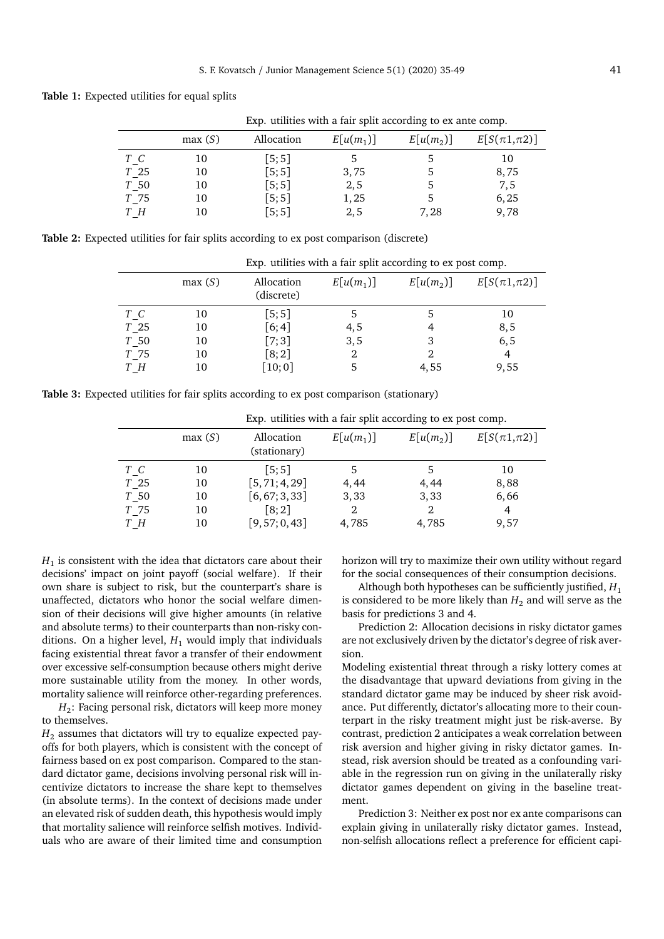<span id="page-6-0"></span>**Table 1:** Expected utilities for equal splits

|                 | Exp. utilities with a fair split according to ex ante comp. |                      |             |                       |                     |  |  |  |  |
|-----------------|-------------------------------------------------------------|----------------------|-------------|-----------------------|---------------------|--|--|--|--|
|                 | max(S)                                                      | Allocation           | $E[u(m_1)]$ | E[u(m <sub>2</sub> )] | $E[S(\pi 1,\pi 2)]$ |  |  |  |  |
| T C             | 10                                                          | [5;5]                |             | 5.                    | 10                  |  |  |  |  |
| T <sub>25</sub> | 10                                                          | [5;5]                | 3,75        | 5                     | 8,75                |  |  |  |  |
| T 50            | 10                                                          | [5;5]                | 2,5         | 5                     | 7,5                 |  |  |  |  |
| T 75            | 10                                                          | [5;5]                | 1,25        |                       | 6,25                |  |  |  |  |
| ΤН              | 10                                                          | $\lceil 5; 5 \rceil$ | 2,5         | 7.28                  | 9,78                |  |  |  |  |

<span id="page-6-2"></span>**Table 2:** Expected utilities for fair splits according to ex post comparison (discrete)

|           | Exp. utilities with a fair split according to ex post comp. |                          |             |                       |                     |  |  |  |  |
|-----------|-------------------------------------------------------------|--------------------------|-------------|-----------------------|---------------------|--|--|--|--|
|           | max(S)                                                      | Allocation<br>(discrete) | $E[u(m_1)]$ | E[u(m <sub>2</sub> )] | $E[S(\pi 1,\pi 2)]$ |  |  |  |  |
| $T_{C}$   | 10                                                          | [5;5]                    |             |                       | 10                  |  |  |  |  |
| $T_{.25}$ | 10                                                          | [6; 4]                   | 4,5         |                       | 8,5                 |  |  |  |  |
| T 50      | 10                                                          | $[7;3]$                  | 3, 5        | 3                     | 6, 5                |  |  |  |  |
| T 75      | 10                                                          | [8; 2]                   | 2           |                       | 4                   |  |  |  |  |
| $T\_{H}$  | 10                                                          | [10;0]                   |             | 4,55                  | 9,55                |  |  |  |  |

<span id="page-6-1"></span>**Table 3:** Expected utilities for fair splits according to ex post comparison (stationary)

|           | Lap, almno with a fail opin according to on pool comp. |                            |             |                       |                     |  |  |  |
|-----------|--------------------------------------------------------|----------------------------|-------------|-----------------------|---------------------|--|--|--|
|           | max(S)                                                 | Allocation<br>(stationary) | $E[u(m_1)]$ | E[u(m <sub>2</sub> )] | $E[S(\pi 1,\pi 2)]$ |  |  |  |
| $T_C$     | 10                                                     | [5:5]                      |             |                       | 10                  |  |  |  |
| $T_{125}$ | 10                                                     | [5, 71; 4, 29]             | 4,44        | 4,44                  | 8,88                |  |  |  |
| T 50      | 10                                                     | [6, 67; 3, 33]             | 3,33        | 3,33                  | 6,66                |  |  |  |
| T 75      | 10                                                     | $\lceil 8; 2 \rceil$       |             |                       | 4                   |  |  |  |
| $T_H$     | 10                                                     | [9, 57; 0, 43]             | 4,785       | 4,785                 | 9,57                |  |  |  |

Exp. utilities with a fair split according to ex post comp.

 $H_1$  is consistent with the idea that dictators care about their decisions' impact on joint payoff (social welfare). If their own share is subject to risk, but the counterpart's share is unaffected, dictators who honor the social welfare dimension of their decisions will give higher amounts (in relative and absolute terms) to their counterparts than non-risky conditions. On a higher level,  $H_1$  would imply that individuals facing existential threat favor a transfer of their endowment over excessive self-consumption because others might derive more sustainable utility from the money. In other words, mortality salience will reinforce other-regarding preferences.

 $H_2$ : Facing personal risk, dictators will keep more money to themselves.

 $H_2$  assumes that dictators will try to equalize expected payoffs for both players, which is consistent with the concept of fairness based on ex post comparison. Compared to the standard dictator game, decisions involving personal risk will incentivize dictators to increase the share kept to themselves (in absolute terms). In the context of decisions made under an elevated risk of sudden death, this hypothesis would imply that mortality salience will reinforce selfish motives. Individuals who are aware of their limited time and consumption

horizon will try to maximize their own utility without regard for the social consequences of their consumption decisions.

Although both hypotheses can be sufficiently justified, *H*<sup>1</sup> is considered to be more likely than  $H_2$  and will serve as the basis for predictions 3 and 4.

Prediction 2: Allocation decisions in risky dictator games are not exclusively driven by the dictator's degree of risk aversion.

Modeling existential threat through a risky lottery comes at the disadvantage that upward deviations from giving in the standard dictator game may be induced by sheer risk avoidance. Put differently, dictator's allocating more to their counterpart in the risky treatment might just be risk-averse. By contrast, prediction 2 anticipates a weak correlation between risk aversion and higher giving in risky dictator games. Instead, risk aversion should be treated as a confounding variable in the regression run on giving in the unilaterally risky dictator games dependent on giving in the baseline treatment.

Prediction 3: Neither ex post nor ex ante comparisons can explain giving in unilaterally risky dictator games. Instead, non-selfish allocations reflect a preference for efficient capi-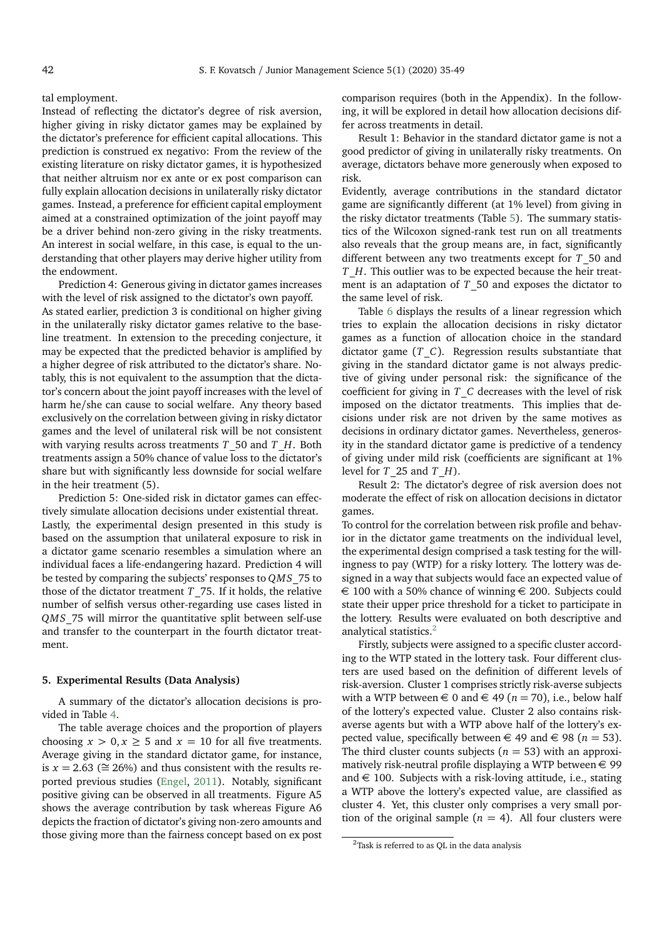#### tal employment.

Instead of reflecting the dictator's degree of risk aversion, higher giving in risky dictator games may be explained by the dictator's preference for efficient capital allocations. This prediction is construed ex negativo: From the review of the existing literature on risky dictator games, it is hypothesized that neither altruism nor ex ante or ex post comparison can fully explain allocation decisions in unilaterally risky dictator games. Instead, a preference for efficient capital employment aimed at a constrained optimization of the joint payoff may be a driver behind non-zero giving in the risky treatments. An interest in social welfare, in this case, is equal to the understanding that other players may derive higher utility from the endowment.

Prediction 4: Generous giving in dictator games increases with the level of risk assigned to the dictator's own payoff. As stated earlier, prediction 3 is conditional on higher giving in the unilaterally risky dictator games relative to the baseline treatment. In extension to the preceding conjecture, it may be expected that the predicted behavior is amplified by a higher degree of risk attributed to the dictator's share. Notably, this is not equivalent to the assumption that the dictator's concern about the joint payoff increases with the level of harm he/she can cause to social welfare. Any theory based exclusively on the correlation between giving in risky dictator games and the level of unilateral risk will be not consistent with varying results across treatments *T*\_50 and *T*\_*H*. Both

treatments assign a 50% chance of value loss to the dictator's share but with significantly less downside for social welfare in the heir treatment (5). Prediction 5: One-sided risk in dictator games can effec-

tively simulate allocation decisions under existential threat. Lastly, the experimental design presented in this study is based on the assumption that unilateral exposure to risk in a dictator game scenario resembles a simulation where an individual faces a life-endangering hazard. Prediction 4 will be tested by comparing the subjects' responses to *QMS*\_75 to those of the dictator treatment *T*\_75. If it holds, the relative number of selfish versus other-regarding use cases listed in *QMS*\_75 will mirror the quantitative split between self-use and transfer to the counterpart in the fourth dictator treatment.

# **5. Experimental Results (Data Analysis)**

A summary of the dictator's allocation decisions is provided in Table [4.](#page-8-0)

The table average choices and the proportion of players choosing  $x > 0, x \ge 5$  and  $x = 10$  for all five treatments. Average giving in the standard dictator game, for instance, is *x* = 2.63 ( $\cong$  26%) and thus consistent with the results reported previous studies [\(Engel,](#page-14-31) [2011\)](#page-14-31). Notably, significant positive giving can be observed in all treatments. Figure A5 shows the average contribution by task whereas Figure A6 depicts the fraction of dictator's giving non-zero amounts and those giving more than the fairness concept based on ex post

comparison requires (both in the Appendix). In the following, it will be explored in detail how allocation decisions differ across treatments in detail.

Result 1: Behavior in the standard dictator game is not a good predictor of giving in unilaterally risky treatments. On average, dictators behave more generously when exposed to risk.

Evidently, average contributions in the standard dictator game are significantly different (at 1% level) from giving in the risky dictator treatments (Table [5\)](#page-8-1). The summary statistics of the Wilcoxon signed-rank test run on all treatments also reveals that the group means are, in fact, significantly different between any two treatments except for *T*\_50 and *T*\_*H*. This outlier was to be expected because the heir treatment is an adaptation of *T*\_50 and exposes the dictator to the same level of risk.

Table [6](#page-8-2) displays the results of a linear regression which tries to explain the allocation decisions in risky dictator games as a function of allocation choice in the standard dictator game (*T*\_*C*). Regression results substantiate that giving in the standard dictator game is not always predictive of giving under personal risk: the significance of the coefficient for giving in *T*\_*C* decreases with the level of risk imposed on the dictator treatments. This implies that decisions under risk are not driven by the same motives as decisions in ordinary dictator games. Nevertheless, generosity in the standard dictator game is predictive of a tendency of giving under mild risk (coefficients are significant at 1% level for *T*\_25 and *T*\_*H*).

Result 2: The dictator's degree of risk aversion does not moderate the effect of risk on allocation decisions in dictator games.

To control for the correlation between risk profile and behavior in the dictator game treatments on the individual level, the experimental design comprised a task testing for the willingness to pay (WTP) for a risky lottery. The lottery was designed in a way that subjects would face an expected value of  $\epsilon$  100 with a 50% chance of winning  $\epsilon$  200. Subjects could state their upper price threshold for a ticket to participate in the lottery. Results were evaluated on both descriptive and analytical statistics.<sup>[2](#page-7-0)</sup>

Firstly, subjects were assigned to a specific cluster according to the WTP stated in the lottery task. Four different clusters are used based on the definition of different levels of risk-aversion. Cluster 1 comprises strictly risk-averse subjects with a WTP between  $\in$  0 and  $\in$  49 ( $n = 70$ ), i.e., below half of the lottery's expected value. Cluster 2 also contains riskaverse agents but with a WTP above half of the lottery's expected value, specifically between  $\in$  49 and  $\in$  98 (*n* = 53). The third cluster counts subjects ( $n = 53$ ) with an approximatively risk-neutral profile displaying a WTP between  $\in$  99 and  $\in$  100. Subjects with a risk-loving attitude, i.e., stating a WTP above the lottery's expected value, are classified as cluster 4. Yet, this cluster only comprises a very small portion of the original sample  $(n = 4)$ . All four clusters were

<span id="page-7-0"></span><sup>&</sup>lt;sup>2</sup>Task is referred to as QL in the data analysis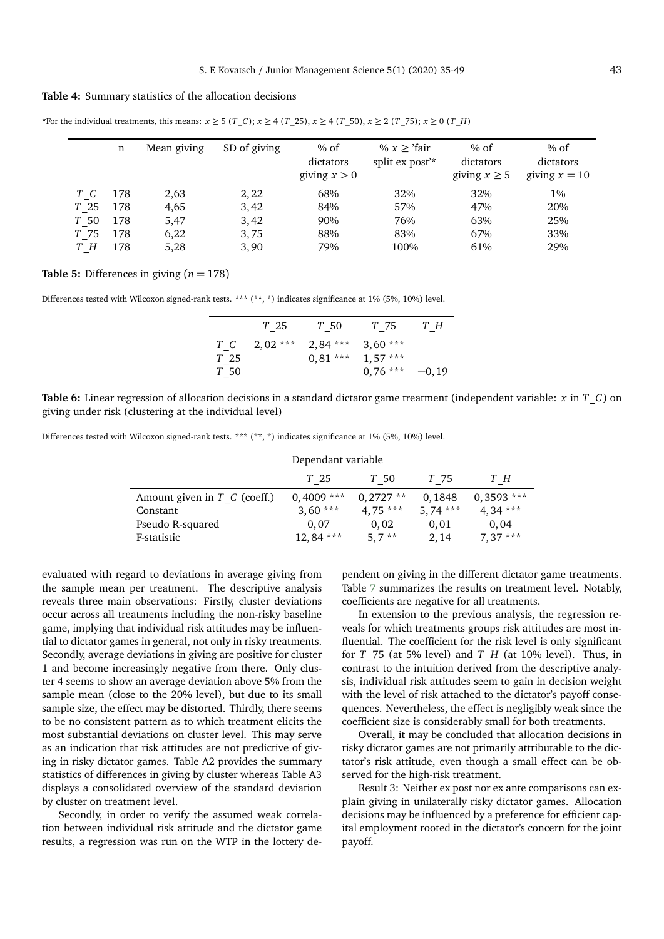# <span id="page-8-0"></span>**Table 4:** Summary statistics of the allocation decisions

\*For the individual treatments, this means:  $x \ge 5$  ( $T_C$ );  $x \ge 4$  ( $T_2$ 5),  $x \ge 4$  ( $T_5$ 0),  $x \ge 2$  ( $T_7$ 5);  $x \ge 0$  ( $T_1$ *H*)

|                 | n   | Mean giving | SD of giving | $%$ of<br>dictators<br>giving $x > 0$ | % $x \geq$ 'fair'<br>split ex post <sup>'*</sup> | $%$ of<br>dictators<br>giving $x \geq 5$ | % of<br>dictators<br>giving $x = 10$ |
|-----------------|-----|-------------|--------------|---------------------------------------|--------------------------------------------------|------------------------------------------|--------------------------------------|
| T C             | 178 | 2,63        | 2,22         | 68%                                   | 32%                                              | 32%                                      | 1%                                   |
| T <sub>25</sub> | 178 | 4,65        | 3,42         | 84%                                   | 57%                                              | 47%                                      | 20%                                  |
| T 50            | 178 | 5,47        | 3,42         | 90%                                   | 76%                                              | 63%                                      | 25%                                  |
| T 75            | 178 | 6,22        | 3,75         | 88%                                   | 83%                                              | 67%                                      | 33%                                  |
| ТН              | 178 | 5,28        | 3,90         | 79%                                   | 100%                                             | 61%                                      | 29%                                  |

# <span id="page-8-1"></span>**Table 5:** Differences in giving  $(n = 178)$

Differences tested with Wilcoxon signed-rank tests. \*\*\* (\*\*, \*) indicates significance at 1% (5%, 10%) level.

|            | T 25       | $T_{.}50$  | $T_{\perp}$ 75 | $T_H$    |
|------------|------------|------------|----------------|----------|
| $T\_C$     | $2,02$ *** | $2,84$ *** | $3.60***$      |          |
| $T_{1,25}$ |            | $0.81***$  | $1.57***$      |          |
| $T_{.}50$  |            |            | $0,76***$      | $-0, 19$ |

<span id="page-8-2"></span>**Table 6:** Linear regression of allocation decisions in a standard dictator game treatment (independent variable: *x* in *T*\_*C*) on giving under risk (clustering at the individual level)

Differences tested with Wilcoxon signed-rank tests. \*\*\* (\*\*, \*) indicates significance at 1% (5%, 10%) level.

| Dependant variable               |              |            |           |              |  |  |  |  |
|----------------------------------|--------------|------------|-----------|--------------|--|--|--|--|
|                                  | T 25         | T 50       | T 75      | TН           |  |  |  |  |
| Amount given in $T$ $C$ (coeff.) | $0,4009$ *** | $0.2727**$ | 0.1848    | $0,3593$ *** |  |  |  |  |
| Constant                         | $3,60***$    | $4.75***$  | $5,74***$ | $4,34***$    |  |  |  |  |
| Pseudo R-squared                 | 0.07         | 0.02       | 0.01      | 0.04         |  |  |  |  |
| F-statistic                      | $12,84$ ***  | $5,7$ **   | 2, 14     | $7,37***$    |  |  |  |  |

evaluated with regard to deviations in average giving from the sample mean per treatment. The descriptive analysis reveals three main observations: Firstly, cluster deviations occur across all treatments including the non-risky baseline game, implying that individual risk attitudes may be influential to dictator games in general, not only in risky treatments. Secondly, average deviations in giving are positive for cluster 1 and become increasingly negative from there. Only cluster 4 seems to show an average deviation above 5% from the sample mean (close to the 20% level), but due to its small sample size, the effect may be distorted. Thirdly, there seems to be no consistent pattern as to which treatment elicits the most substantial deviations on cluster level. This may serve as an indication that risk attitudes are not predictive of giving in risky dictator games. Table A2 provides the summary statistics of differences in giving by cluster whereas Table A3 displays a consolidated overview of the standard deviation by cluster on treatment level.

Secondly, in order to verify the assumed weak correlation between individual risk attitude and the dictator game results, a regression was run on the WTP in the lottery de-

pendent on giving in the different dictator game treatments. Table [7](#page-9-0) summarizes the results on treatment level. Notably, coefficients are negative for all treatments.

In extension to the previous analysis, the regression reveals for which treatments groups risk attitudes are most influential. The coefficient for the risk level is only significant for *T* 75 (at 5% level) and *T H* (at 10% level). Thus, in contrast to the intuition derived from the descriptive analysis, individual risk attitudes seem to gain in decision weight with the level of risk attached to the dictator's payoff consequences. Nevertheless, the effect is negligibly weak since the coefficient size is considerably small for both treatments.

Overall, it may be concluded that allocation decisions in risky dictator games are not primarily attributable to the dictator's risk attitude, even though a small effect can be observed for the high-risk treatment.

Result 3: Neither ex post nor ex ante comparisons can explain giving in unilaterally risky dictator games. Allocation decisions may be influenced by a preference for efficient capital employment rooted in the dictator's concern for the joint payoff.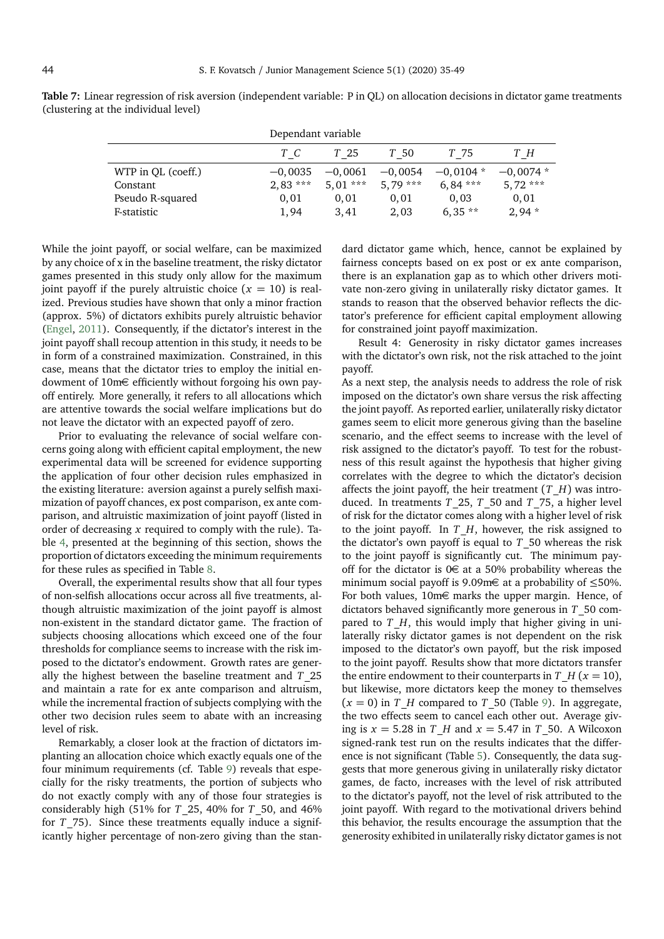| Dependant variable |           |           |           |            |            |  |  |  |
|--------------------|-----------|-----------|-----------|------------|------------|--|--|--|
|                    | T C       | T 25      | T 50      | T 75       | TН         |  |  |  |
| WTP in QL (coeff.) | $-0.0035$ | $-0.0061$ | $-0,0054$ | $-0.0104*$ | $-0.0074*$ |  |  |  |
| Constant           | $2.83***$ | $5,01***$ | $5.79***$ | $6,84***$  | $5,72***$  |  |  |  |
| Pseudo R-squared   | 0.01      | 0.01      | 0.01      | 0.03       | 0.01       |  |  |  |
| F-statistic        | 1,94      | 3.41      | 2,03      | $6,35**$   | $2,94*$    |  |  |  |

<span id="page-9-0"></span>**Table 7:** Linear regression of risk aversion (independent variable: P in QL) on allocation decisions in dictator game treatments (clustering at the individual level)

While the joint payoff, or social welfare, can be maximized by any choice of x in the baseline treatment, the risky dictator games presented in this study only allow for the maximum joint payoff if the purely altruistic choice  $(x = 10)$  is realized. Previous studies have shown that only a minor fraction (approx. 5%) of dictators exhibits purely altruistic behavior [\(Engel,](#page-14-31) [2011\)](#page-14-31). Consequently, if the dictator's interest in the joint payoff shall recoup attention in this study, it needs to be in form of a constrained maximization. Constrained, in this case, means that the dictator tries to employ the initial endowment of 10m€ efficiently without forgoing his own payoff entirely. More generally, it refers to all allocations which are attentive towards the social welfare implications but do not leave the dictator with an expected payoff of zero.

Prior to evaluating the relevance of social welfare concerns going along with efficient capital employment, the new experimental data will be screened for evidence supporting the application of four other decision rules emphasized in the existing literature: aversion against a purely selfish maximization of payoff chances, ex post comparison, ex ante comparison, and altruistic maximization of joint payoff (listed in order of decreasing *x* required to comply with the rule). Table [4,](#page-8-0) presented at the beginning of this section, shows the proportion of dictators exceeding the minimum requirements for these rules as specified in Table [8.](#page-10-0)

Overall, the experimental results show that all four types of non-selfish allocations occur across all five treatments, although altruistic maximization of the joint payoff is almost non-existent in the standard dictator game. The fraction of subjects choosing allocations which exceed one of the four thresholds for compliance seems to increase with the risk imposed to the dictator's endowment. Growth rates are generally the highest between the baseline treatment and *T*\_25 and maintain a rate for ex ante comparison and altruism, while the incremental fraction of subjects complying with the other two decision rules seem to abate with an increasing level of risk.

Remarkably, a closer look at the fraction of dictators implanting an allocation choice which exactly equals one of the four minimum requirements (cf. Table [9\)](#page-10-1) reveals that especially for the risky treatments, the portion of subjects who do not exactly comply with any of those four strategies is considerably high (51% for *T*\_25, 40% for *T*\_50, and 46% for *T*\_75). Since these treatments equally induce a significantly higher percentage of non-zero giving than the stan-

dard dictator game which, hence, cannot be explained by fairness concepts based on ex post or ex ante comparison, there is an explanation gap as to which other drivers motivate non-zero giving in unilaterally risky dictator games. It stands to reason that the observed behavior reflects the dictator's preference for efficient capital employment allowing for constrained joint payoff maximization.

Result 4: Generosity in risky dictator games increases with the dictator's own risk, not the risk attached to the joint payoff.

As a next step, the analysis needs to address the role of risk imposed on the dictator's own share versus the risk affecting the joint payoff. As reported earlier, unilaterally risky dictator games seem to elicit more generous giving than the baseline scenario, and the effect seems to increase with the level of risk assigned to the dictator's payoff. To test for the robustness of this result against the hypothesis that higher giving correlates with the degree to which the dictator's decision affects the joint payoff, the heir treatment (*T*\_*H*) was introduced. In treatments *T*\_25, *T*\_50 and *T*\_75, a higher level of risk for the dictator comes along with a higher level of risk to the joint payoff. In *T*\_*H*, however, the risk assigned to the dictator's own payoff is equal to *T*\_50 whereas the risk to the joint payoff is significantly cut. The minimum payoff for the dictator is  $0 \in \mathbb{R}$  at a 50% probability whereas the minimum social payoff is 9.09m€ at a probability of ≤50%. For both values, 10m€ marks the upper margin. Hence, of dictators behaved significantly more generous in *T*\_50 compared to *T H*, this would imply that higher giving in unilaterally risky dictator games is not dependent on the risk imposed to the dictator's own payoff, but the risk imposed to the joint payoff. Results show that more dictators transfer the entire endowment to their counterparts in *T*  $H$  ( $x = 10$ ), but likewise, more dictators keep the money to themselves  $(x = 0)$  in *T*<sub>*H*</sub> compared to *T*<sub>*-*50</sub> (Table [9\)](#page-10-1). In aggregate, the two effects seem to cancel each other out. Average giving is  $x = 5.28$  in *T H* and  $x = 5.47$  in *T* 50. A Wilcoxon signed-rank test run on the results indicates that the difference is not significant (Table [5\)](#page-8-1). Consequently, the data suggests that more generous giving in unilaterally risky dictator games, de facto, increases with the level of risk attributed to the dictator's payoff, not the level of risk attributed to the joint payoff. With regard to the motivational drivers behind this behavior, the results encourage the assumption that the generosity exhibited in unilaterally risky dictator games is not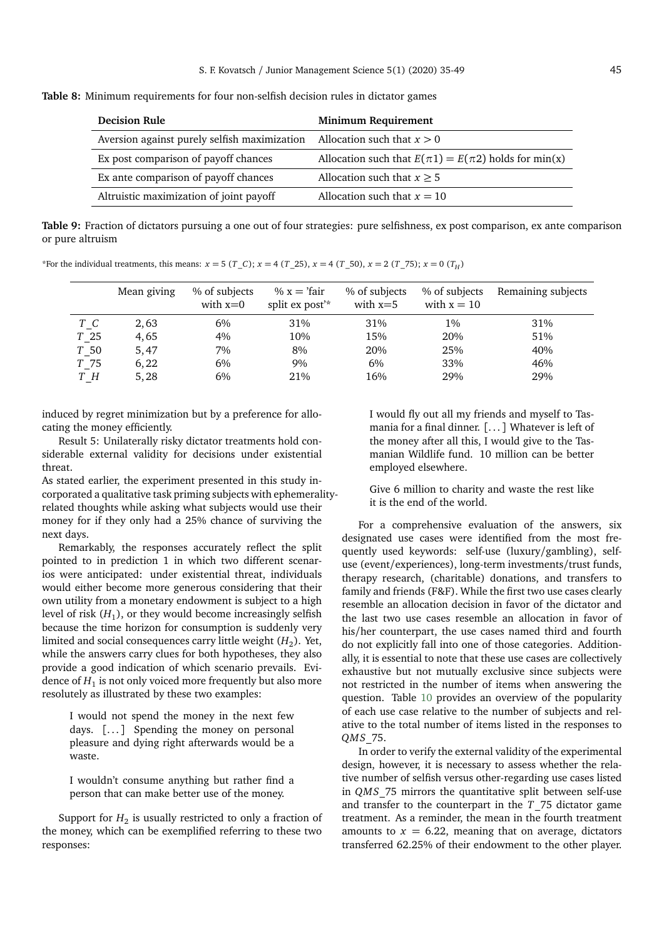<span id="page-10-0"></span>**Table 8:** Minimum requirements for four non-selfish decision rules in dictator games

| <b>Decision Rule</b>                                                      | <b>Minimum Requirement</b>                                  |
|---------------------------------------------------------------------------|-------------------------------------------------------------|
| Aversion against purely selfish maximization Allocation such that $x > 0$ |                                                             |
| Ex post comparison of payoff chances                                      | Allocation such that $E(\pi 1) = E(\pi 2)$ holds for min(x) |
| Ex ante comparison of payoff chances                                      | Allocation such that $x \ge 5$                              |
| Altruistic maximization of joint payoff                                   | Allocation such that $x = 10$                               |

<span id="page-10-1"></span>**Table 9:** Fraction of dictators pursuing a one out of four strategies: pure selfishness, ex post comparison, ex ante comparison or pure altruism

\*For the individual treatments, this means:  $x = 5$  (*T*\_*C*);  $x = 4$  (*T*\_25),  $x = 4$  (*T*\_50),  $x = 2$  (*T*\_75);  $x = 0$  (*T<sub>H</sub>*)

|           | Mean giving | % of subjects<br>with $x=0$ | % $x = 'fair$<br>split ex post <sup>'*</sup> | % of subjects<br>with $x=5$ | % of subjects<br>with $x = 10$ | Remaining subjects |
|-----------|-------------|-----------------------------|----------------------------------------------|-----------------------------|--------------------------------|--------------------|
| $T_{C}$   | 2,63        | 6%                          | 31%                                          | 31%                         | $1\%$                          | 31%                |
| $T_{-}25$ | 4,65        | 4%                          | 10%                                          | 15%                         | 20%                            | 51%                |
| $T_{.}50$ | 5,47        | 7%                          | 8%                                           | 20%                         | 25%                            | 40%                |
| T 75      | 6,22        | 6%                          | 9%                                           | $6\%$                       | 33%                            | 46%                |
| TН        | 5,28        | 6%                          | 21%                                          | 16%                         | 29%                            | 29%                |

induced by regret minimization but by a preference for allocating the money efficiently.

Result 5: Unilaterally risky dictator treatments hold considerable external validity for decisions under existential threat.

As stated earlier, the experiment presented in this study incorporated a qualitative task priming subjects with ephemeralityrelated thoughts while asking what subjects would use their money for if they only had a 25% chance of surviving the next days.

Remarkably, the responses accurately reflect the split pointed to in prediction 1 in which two different scenarios were anticipated: under existential threat, individuals would either become more generous considering that their own utility from a monetary endowment is subject to a high level of risk  $\left(H_{1}\right)$ , or they would become increasingly selfish because the time horizon for consumption is suddenly very limited and social consequences carry little weight  $\left(H_{2}\right)$ . Yet, while the answers carry clues for both hypotheses, they also provide a good indication of which scenario prevails. Evidence of  $H_1$  is not only voiced more frequently but also more resolutely as illustrated by these two examples:

I would not spend the money in the next few days.  $[\dots]$  Spending the money on personal pleasure and dying right afterwards would be a waste.

I wouldn't consume anything but rather find a person that can make better use of the money.

Support for  $H_2$  is usually restricted to only a fraction of the money, which can be exemplified referring to these two responses:

I would fly out all my friends and myself to Tasmania for a final dinner. [. . . ] Whatever is left of the money after all this, I would give to the Tasmanian Wildlife fund. 10 million can be better employed elsewhere.

Give 6 million to charity and waste the rest like it is the end of the world.

For a comprehensive evaluation of the answers, six designated use cases were identified from the most frequently used keywords: self-use (luxury/gambling), selfuse (event/experiences), long-term investments/trust funds, therapy research, (charitable) donations, and transfers to family and friends (F&F). While the first two use cases clearly resemble an allocation decision in favor of the dictator and the last two use cases resemble an allocation in favor of his/her counterpart, the use cases named third and fourth do not explicitly fall into one of those categories. Additionally, it is essential to note that these use cases are collectively exhaustive but not mutually exclusive since subjects were not restricted in the number of items when answering the question. Table [10](#page-11-0) provides an overview of the popularity of each use case relative to the number of subjects and relative to the total number of items listed in the responses to *QMS*\_75.

In order to verify the external validity of the experimental design, however, it is necessary to assess whether the relative number of selfish versus other-regarding use cases listed in *QMS*\_75 mirrors the quantitative split between self-use and transfer to the counterpart in the *T*\_75 dictator game treatment. As a reminder, the mean in the fourth treatment amounts to  $x = 6.22$ , meaning that on average, dictators transferred 62.25% of their endowment to the other player.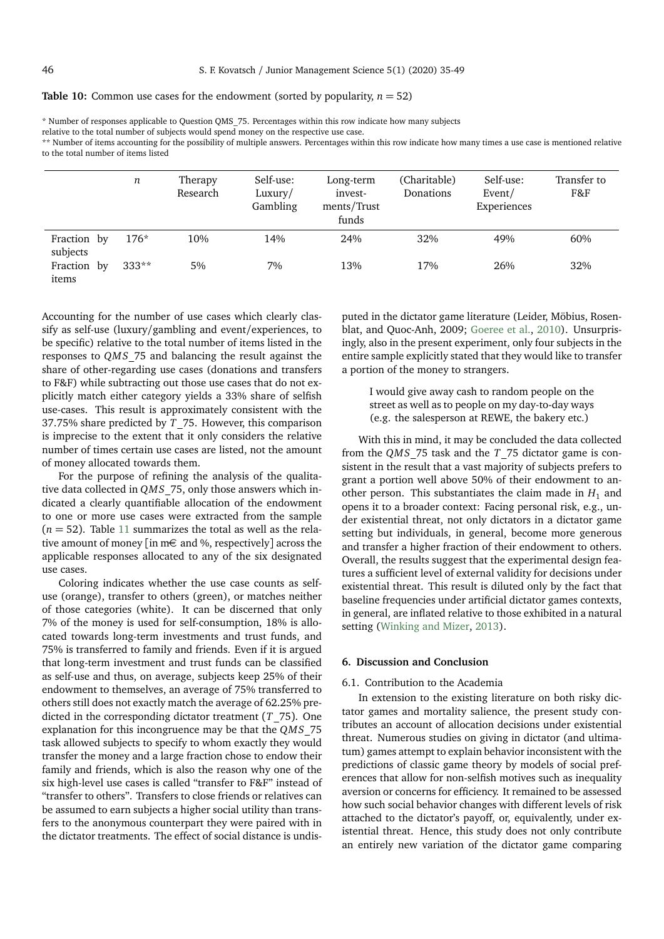# <span id="page-11-0"></span>**Table 10:** Common use cases for the endowment (sorted by popularity,  $n = 52$ )

relative to the total number of subjects would spend money on the respective use case.

\*\* Number of items accounting for the possibility of multiple answers. Percentages within this row indicate how many times a use case is mentioned relative to the total number of items listed

|                         | n       | Therapy<br>Research | Self-use:<br>Luxury/<br>Gambling | Long-term<br>invest-<br>ments/Trust<br>funds | (Charitable)<br>Donations | Self-use:<br>Event/<br>Experiences | Transfer to<br>F&F |
|-------------------------|---------|---------------------|----------------------------------|----------------------------------------------|---------------------------|------------------------------------|--------------------|
| Fraction by<br>subjects | $176*$  | 10%                 | 14%                              | 24%                                          | 32%                       | 49%                                | 60%                |
| Fraction by<br>items    | $333**$ | 5%                  | 7%                               | 13%                                          | 17%                       | 26%                                | 32%                |

Accounting for the number of use cases which clearly classify as self-use (luxury/gambling and event/experiences, to be specific) relative to the total number of items listed in the responses to *QMS*\_75 and balancing the result against the share of other-regarding use cases (donations and transfers to F&F) while subtracting out those use cases that do not explicitly match either category yields a 33% share of selfish use-cases. This result is approximately consistent with the 37.75% share predicted by *T*\_75. However, this comparison is imprecise to the extent that it only considers the relative number of times certain use cases are listed, not the amount of money allocated towards them.

For the purpose of refining the analysis of the qualitative data collected in *QMS*\_75, only those answers which indicated a clearly quantifiable allocation of the endowment to one or more use cases were extracted from the sample  $(n = 52)$ . Table [11](#page-12-0) summarizes the total as well as the relative amount of money [in m€ and %, respectively] across the applicable responses allocated to any of the six designated use cases.

Coloring indicates whether the use case counts as selfuse (orange), transfer to others (green), or matches neither of those categories (white). It can be discerned that only 7% of the money is used for self-consumption, 18% is allocated towards long-term investments and trust funds, and 75% is transferred to family and friends. Even if it is argued that long-term investment and trust funds can be classified as self-use and thus, on average, subjects keep 25% of their endowment to themselves, an average of 75% transferred to others still does not exactly match the average of 62.25% predicted in the corresponding dictator treatment (*T*\_75). One explanation for this incongruence may be that the *QMS*\_75 task allowed subjects to specify to whom exactly they would transfer the money and a large fraction chose to endow their family and friends, which is also the reason why one of the six high-level use cases is called "transfer to F&F" instead of "transfer to others". Transfers to close friends or relatives can be assumed to earn subjects a higher social utility than transfers to the anonymous counterpart they were paired with in the dictator treatments. The effect of social distance is undisputed in the dictator game literature (Leider, Möbius, Rosenblat, and Quoc-Anh, 2009; [Goeree et al.,](#page-14-32) [2010\)](#page-14-32). Unsurprisingly, also in the present experiment, only four subjects in the entire sample explicitly stated that they would like to transfer a portion of the money to strangers.

> I would give away cash to random people on the street as well as to people on my day-to-day ways (e.g. the salesperson at REWE, the bakery etc.)

With this in mind, it may be concluded the data collected from the *QMS*\_75 task and the *T*\_75 dictator game is consistent in the result that a vast majority of subjects prefers to grant a portion well above 50% of their endowment to another person. This substantiates the claim made in  $H_1$  and opens it to a broader context: Facing personal risk, e.g., under existential threat, not only dictators in a dictator game setting but individuals, in general, become more generous and transfer a higher fraction of their endowment to others. Overall, the results suggest that the experimental design features a sufficient level of external validity for decisions under existential threat. This result is diluted only by the fact that baseline frequencies under artificial dictator games contexts, in general, are inflated relative to those exhibited in a natural setting [\(Winking and Mizer,](#page-14-33) [2013\)](#page-14-33).

# **6. Discussion and Conclusion**

# 6.1. Contribution to the Academia

In extension to the existing literature on both risky dictator games and mortality salience, the present study contributes an account of allocation decisions under existential threat. Numerous studies on giving in dictator (and ultimatum) games attempt to explain behavior inconsistent with the predictions of classic game theory by models of social preferences that allow for non-selfish motives such as inequality aversion or concerns for efficiency. It remained to be assessed how such social behavior changes with different levels of risk attached to the dictator's payoff, or, equivalently, under existential threat. Hence, this study does not only contribute an entirely new variation of the dictator game comparing

<sup>\*</sup> Number of responses applicable to Question QMS\_75. Percentages within this row indicate how many subjects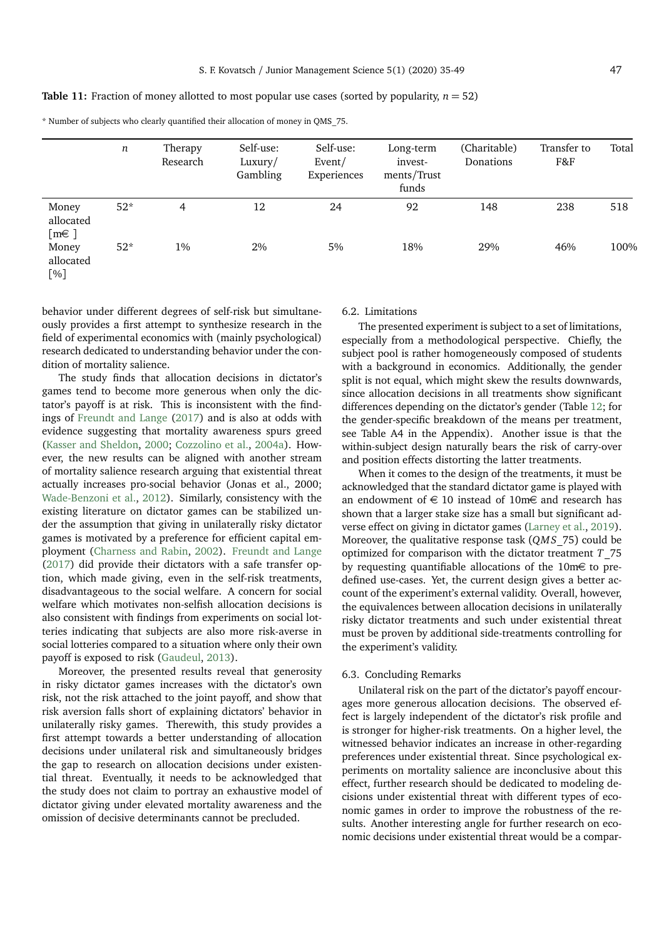<span id="page-12-0"></span>**Table 11:** Fraction of money allotted to most popular use cases (sorted by popularity,  $n = 52$ )

\* Number of subjects who clearly quantified their allocation of money in QMS\_75.

|                                                         | n     | Therapy<br>Research | Self-use:<br>Luxury/ | Self-use:<br>Event/ | Long-term<br>invest- | (Charitable)<br>Donations | Transfer to<br>F&F | Total |
|---------------------------------------------------------|-------|---------------------|----------------------|---------------------|----------------------|---------------------------|--------------------|-------|
|                                                         |       |                     | Gambling             | Experiences         | ments/Trust<br>funds |                           |                    |       |
| Money<br>allocated<br>$[{\mathfrak m}{\mathfrak \in}$ ] | $52*$ | 4                   | 12                   | 24                  | 92                   | 148                       | 238                | 518   |
| Money<br>allocated<br>[%]                               | $52*$ | $1\%$               | 2%                   | 5%                  | 18%                  | 29%                       | 46%                | 100%  |

behavior under different degrees of self-risk but simultaneously provides a first attempt to synthesize research in the field of experimental economics with (mainly psychological) research dedicated to understanding behavior under the condition of mortality salience.

The study finds that allocation decisions in dictator's games tend to become more generous when only the dictator's payoff is at risk. This is inconsistent with the findings of [Freundt and Lange](#page-14-18) [\(2017\)](#page-14-18) and is also at odds with evidence suggesting that mortality awareness spurs greed [\(Kasser and Sheldon,](#page-14-8) [2000;](#page-14-8) [Cozzolino et al.,](#page-14-23) [2004a\)](#page-14-23). However, the new results can be aligned with another stream of mortality salience research arguing that existential threat actually increases pro-social behavior (Jonas et al., 2000; [Wade-Benzoni et al.,](#page-14-27) [2012\)](#page-14-27). Similarly, consistency with the existing literature on dictator games can be stabilized under the assumption that giving in unilaterally risky dictator games is motivated by a preference for efficient capital employment [\(Charness and Rabin,](#page-14-13) [2002\)](#page-14-13). [Freundt and Lange](#page-14-18) [\(2017\)](#page-14-18) did provide their dictators with a safe transfer option, which made giving, even in the self-risk treatments, disadvantageous to the social welfare. A concern for social welfare which motivates non-selfish allocation decisions is also consistent with findings from experiments on social lotteries indicating that subjects are also more risk-averse in social lotteries compared to a situation where only their own payoff is exposed to risk [\(Gaudeul,](#page-14-34) [2013\)](#page-14-34).

Moreover, the presented results reveal that generosity in risky dictator games increases with the dictator's own risk, not the risk attached to the joint payoff, and show that risk aversion falls short of explaining dictators' behavior in unilaterally risky games. Therewith, this study provides a first attempt towards a better understanding of allocation decisions under unilateral risk and simultaneously bridges the gap to research on allocation decisions under existential threat. Eventually, it needs to be acknowledged that the study does not claim to portray an exhaustive model of dictator giving under elevated mortality awareness and the omission of decisive determinants cannot be precluded.

# 6.2. Limitations

The presented experiment is subject to a set of limitations, especially from a methodological perspective. Chiefly, the subject pool is rather homogeneously composed of students with a background in economics. Additionally, the gender split is not equal, which might skew the results downwards, since allocation decisions in all treatments show significant differences depending on the dictator's gender (Table [12;](#page-13-0) for the gender-specific breakdown of the means per treatment, see Table A4 in the Appendix). Another issue is that the within-subject design naturally bears the risk of carry-over and position effects distorting the latter treatments.

When it comes to the design of the treatments, it must be acknowledged that the standard dictator game is played with an endowment of  $\in$  10 instead of 10m $\in$  and research has shown that a larger stake size has a small but significant adverse effect on giving in dictator games [\(Larney et al.,](#page-14-35) [2019\)](#page-14-35). Moreover, the qualitative response task (*QMS*\_75) could be optimized for comparison with the dictator treatment *T*\_75 by requesting quantifiable allocations of the 10m€ to predefined use-cases. Yet, the current design gives a better account of the experiment's external validity. Overall, however, the equivalences between allocation decisions in unilaterally risky dictator treatments and such under existential threat must be proven by additional side-treatments controlling for the experiment's validity.

#### 6.3. Concluding Remarks

Unilateral risk on the part of the dictator's payoff encourages more generous allocation decisions. The observed effect is largely independent of the dictator's risk profile and is stronger for higher-risk treatments. On a higher level, the witnessed behavior indicates an increase in other-regarding preferences under existential threat. Since psychological experiments on mortality salience are inconclusive about this effect, further research should be dedicated to modeling decisions under existential threat with different types of economic games in order to improve the robustness of the results. Another interesting angle for further research on economic decisions under existential threat would be a compar-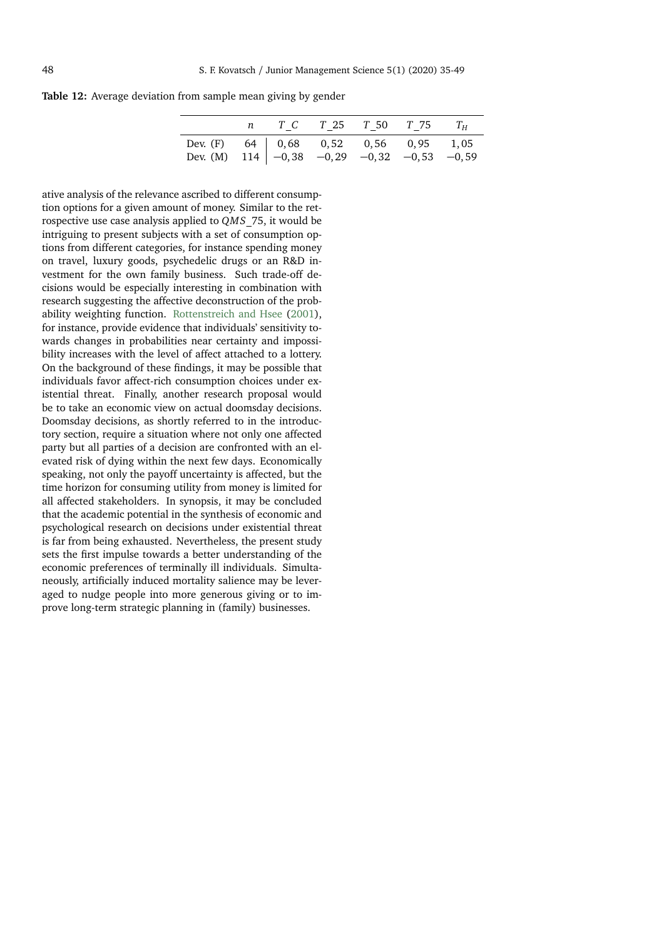<span id="page-13-0"></span>**Table 12:** Average deviation from sample mean giving by gender

|                                                                                                                       |  | <i>n</i> $T_C$ $T_2$ 5 $T_5$ 0 $T_7$ 5 $T_H$ |  |  |
|-----------------------------------------------------------------------------------------------------------------------|--|----------------------------------------------|--|--|
| Dev. (F) 64 $\begin{vmatrix} 0.68 & 0.52 & 0.56 & 0.95 & 1.05 \\ -0.38 & -0.29 & -0.32 & -0.53 & -0.59 \end{vmatrix}$ |  |                                              |  |  |
|                                                                                                                       |  |                                              |  |  |

ative analysis of the relevance ascribed to different consumption options for a given amount of money. Similar to the retrospective use case analysis applied to *QMS*\_75, it would be intriguing to present subjects with a set of consumption options from different categories, for instance spending money on travel, luxury goods, psychedelic drugs or an R&D investment for the own family business. Such trade-off decisions would be especially interesting in combination with research suggesting the affective deconstruction of the probability weighting function. [Rottenstreich and Hsee](#page-14-36) [\(2001\)](#page-14-36), for instance, provide evidence that individuals' sensitivity towards changes in probabilities near certainty and impossibility increases with the level of affect attached to a lottery. On the background of these findings, it may be possible that individuals favor affect-rich consumption choices under existential threat. Finally, another research proposal would be to take an economic view on actual doomsday decisions. Doomsday decisions, as shortly referred to in the introductory section, require a situation where not only one affected party but all parties of a decision are confronted with an elevated risk of dying within the next few days. Economically speaking, not only the payoff uncertainty is affected, but the time horizon for consuming utility from money is limited for all affected stakeholders. In synopsis, it may be concluded that the academic potential in the synthesis of economic and psychological research on decisions under existential threat is far from being exhausted. Nevertheless, the present study sets the first impulse towards a better understanding of the economic preferences of terminally ill individuals. Simultaneously, artificially induced mortality salience may be leveraged to nudge people into more generous giving or to improve long-term strategic planning in (family) businesses.